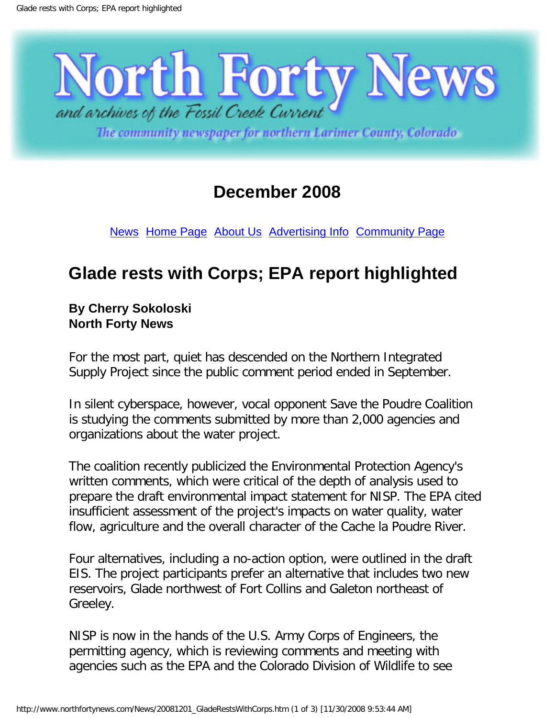

The community newspaper for northern Larimer County, Colorado

## **December 2008**

[News](http://www.northfortynews.com/News/NewsCurrent.htm) [Home Page](http://www.northfortynews.com/index.htm) [About Us](http://www.northfortynews.com/N40AboutUs.htm) [Advertising Info](http://www.northfortynews.com/N40Rates.htm) [Community Page](http://www.northfortynews.com/Community.htm)

# **Glade rests with Corps; EPA report highlighted**

#### **By Cherry Sokoloski North Forty News**

For the most part, quiet has descended on the Northern Integrated Supply Project since the public comment period ended in September.

In silent cyberspace, however, vocal opponent Save the Poudre Coalition is studying the comments submitted by more than 2,000 agencies and organizations about the water project.

The coalition recently publicized the Environmental Protection Agency's written comments, which were critical of the depth of analysis used to prepare the draft environmental impact statement for NISP. The EPA cited insufficient assessment of the project's impacts on water quality, water flow, agriculture and the overall character of the Cache la Poudre River.

Four alternatives, including a no-action option, were outlined in the draft EIS. The project participants prefer an alternative that includes two new reservoirs, Glade northwest of Fort Collins and Galeton northeast of Greeley.

NISP is now in the hands of the U.S. Army Corps of Engineers, the permitting agency, which is reviewing comments and meeting with agencies such as the EPA and the Colorado Division of Wildlife to see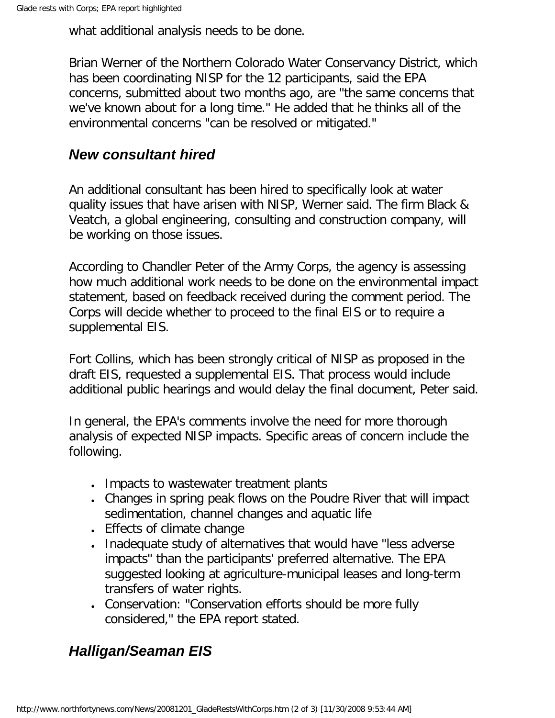what additional analysis needs to be done.

Brian Werner of the Northern Colorado Water Conservancy District, which has been coordinating NISP for the 12 participants, said the EPA concerns, submitted about two months ago, are "the same concerns that we've known about for a long time." He added that he thinks all of the environmental concerns "can be resolved or mitigated."

### *New consultant hired*

An additional consultant has been hired to specifically look at water quality issues that have arisen with NISP, Werner said. The firm Black & Veatch, a global engineering, consulting and construction company, will be working on those issues.

According to Chandler Peter of the Army Corps, the agency is assessing how much additional work needs to be done on the environmental impact statement, based on feedback received during the comment period. The Corps will decide whether to proceed to the final EIS or to require a supplemental EIS.

Fort Collins, which has been strongly critical of NISP as proposed in the draft EIS, requested a supplemental EIS. That process would include additional public hearings and would delay the final document, Peter said.

In general, the EPA's comments involve the need for more thorough analysis of expected NISP impacts. Specific areas of concern include the following.

- Impacts to wastewater treatment plants
- Changes in spring peak flows on the Poudre River that will impact sedimentation, channel changes and aquatic life
- Effects of climate change
- Inadequate study of alternatives that would have "less adverse impacts" than the participants' preferred alternative. The EPA suggested looking at agriculture-municipal leases and long-term transfers of water rights.
- Conservation: "Conservation efforts should be more fully considered," the EPA report stated.

### *Halligan/Seaman EIS*